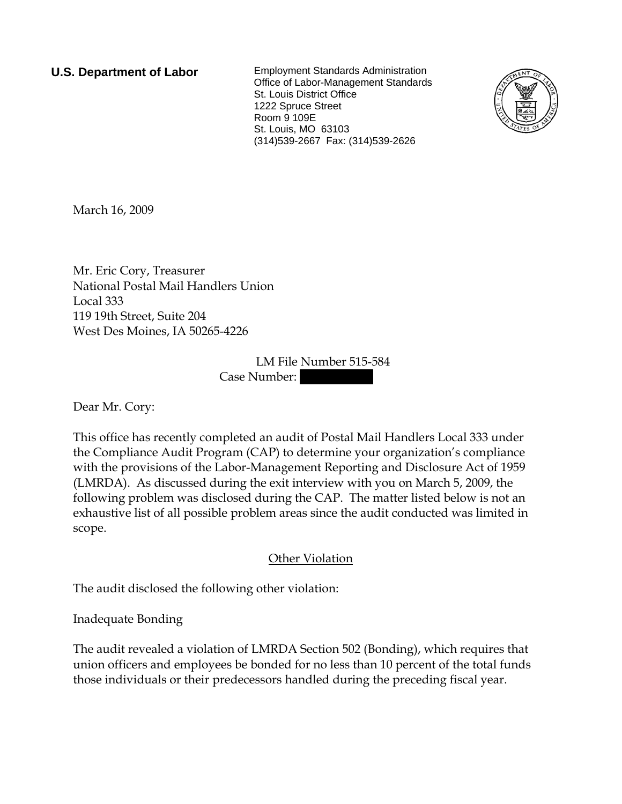**U.S. Department of Labor** Employment Standards Administration Office of Labor-Management Standards St. Louis District Office 1222 Spruce Street Room 9 109E St. Louis, MO 63103 (314)539-2667 Fax: (314)539-2626



March 16, 2009

Mr. Eric Cory, Treasurer National Postal Mail Handlers Union Local 333 119 19th Street, Suite 204 West Des Moines, IA 50265-4226

> LM File Number 515-584 Case Number:

Dear Mr. Cory:

This office has recently completed an audit of Postal Mail Handlers Local 333 under the Compliance Audit Program (CAP) to determine your organization's compliance with the provisions of the Labor-Management Reporting and Disclosure Act of 1959 (LMRDA). As discussed during the exit interview with you on March 5, 2009, the following problem was disclosed during the CAP. The matter listed below is not an exhaustive list of all possible problem areas since the audit conducted was limited in scope.

## Other Violation

The audit disclosed the following other violation:

Inadequate Bonding

The audit revealed a violation of LMRDA Section 502 (Bonding), which requires that union officers and employees be bonded for no less than 10 percent of the total funds those individuals or their predecessors handled during the preceding fiscal year.